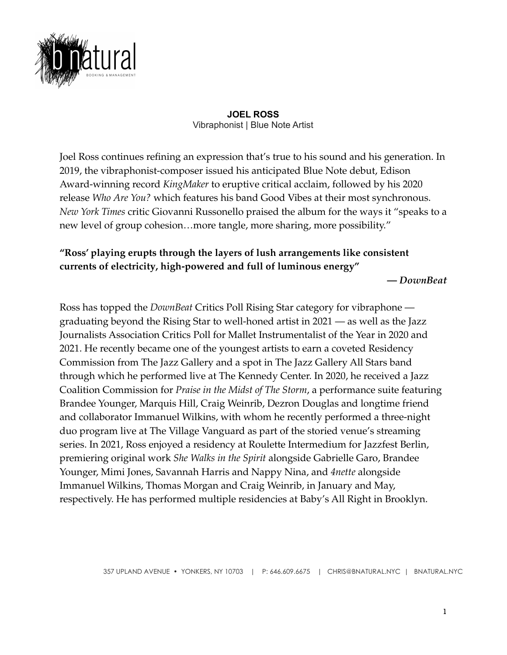

## **JOEL ROSS** Vibraphonist | Blue Note Artist

Joel Ross continues refining an expression that's true to his sound and his generation. In 2019, the vibraphonist-composer issued his anticipated Blue Note debut, Edison Award-winning record *KingMaker* to eruptive critical acclaim, followed by his 2020 release *Who Are You?* which features his band Good Vibes at their most synchronous. *New York Times* critic Giovanni Russonello praised the album for the ways it "speaks to a new level of group cohesion…more tangle, more sharing, more possibility."

## **"Ross' playing erupts through the layers of lush arrangements like consistent currents of electricity, high-powered and full of luminous energy"**

**—** *DownBeat*

Ross has topped the *DownBeat* Critics Poll Rising Star category for vibraphone graduating beyond the Rising Star to well-honed artist in 2021 — as well as the Jazz Journalists Association Critics Poll for Mallet Instrumentalist of the Year in 2020 and 2021. He recently became one of the youngest artists to earn a coveted Residency Commission from The Jazz Gallery and a spot in The Jazz Gallery All Stars band through which he performed live at The Kennedy Center. In 2020, he received a Jazz Coalition Commission for *Praise in the Midst of The Storm*, a performance suite featuring Brandee Younger, Marquis Hill, Craig Weinrib, Dezron Douglas and longtime friend and collaborator Immanuel Wilkins, with whom he recently performed a three-night duo program live at The Village Vanguard as part of the storied venue's streaming series. In 2021, Ross enjoyed a residency at Roulette Intermedium for Jazzfest Berlin, premiering original work *She Walks in the Spirit* alongside Gabrielle Garo, Brandee Younger, Mimi Jones, Savannah Harris and Nappy Nina, and *4nette* alongside Immanuel Wilkins, Thomas Morgan and Craig Weinrib, in January and May, respectively. He has performed multiple residencies at Baby's All Right in Brooklyn.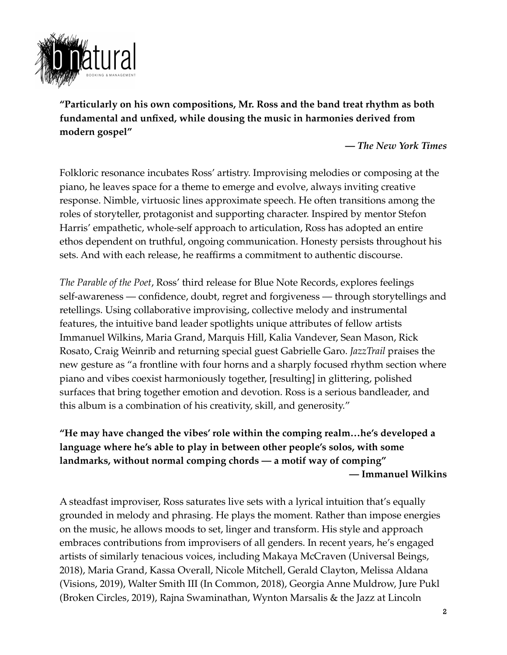

**"Particularly on his own compositions, Mr. Ross and the band treat rhythm as both fundamental and unfixed, while dousing the music in harmonies derived from modern gospel"**

**—** *The New York Times*

Folkloric resonance incubates Ross' artistry. Improvising melodies or composing at the piano, he leaves space for a theme to emerge and evolve, always inviting creative response. Nimble, virtuosic lines approximate speech. He often transitions among the roles of storyteller, protagonist and supporting character. Inspired by mentor Stefon Harris' empathetic, whole-self approach to articulation, Ross has adopted an entire ethos dependent on truthful, ongoing communication. Honesty persists throughout his sets. And with each release, he reaffirms a commitment to authentic discourse.

*The Parable of the Poet*, Ross' third release for Blue Note Records, explores feelings self-awareness — confidence, doubt, regret and forgiveness — through storytellings and retellings. Using collaborative improvising, collective melody and instrumental features, the intuitive band leader spotlights unique attributes of fellow artists Immanuel Wilkins, Maria Grand, Marquis Hill, Kalia Vandever, Sean Mason, Rick Rosato, Craig Weinrib and returning special guest Gabrielle Garo. *JazzTrail* praises the new gesture as "a frontline with four horns and a sharply focused rhythm section where piano and vibes coexist harmoniously together, [resulting] in glittering, polished surfaces that bring together emotion and devotion. Ross is a serious bandleader, and this album is a combination of his creativity, skill, and generosity."

**"He may have changed the vibes' role within the comping realm…he's developed a language where he's able to play in between other people's solos, with some landmarks, without normal comping chords — a motif way of comping" — Immanuel Wilkins**

A steadfast improviser, Ross saturates live sets with a lyrical intuition that's equally grounded in melody and phrasing. He plays the moment. Rather than impose energies on the music, he allows moods to set, linger and transform. His style and approach embraces contributions from improvisers of all genders. In recent years, he's engaged artists of similarly tenacious voices, including Makaya McCraven (Universal Beings, 2018), Maria Grand, Kassa Overall, Nicole Mitchell, Gerald Clayton, Melissa Aldana (Visions, 2019), Walter Smith III (In Common, 2018), Georgia Anne Muldrow, Jure Pukl (Broken Circles, 2019), Rajna Swaminathan, Wynton Marsalis & the Jazz at Lincoln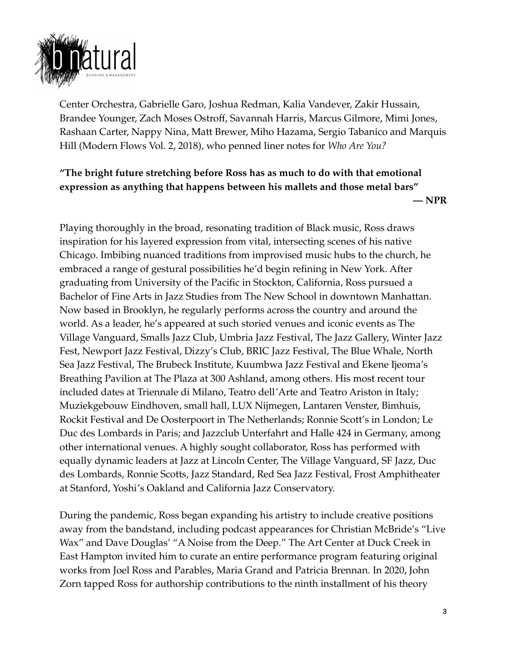

Center Orchestra, Gabrielle Garo, Joshua Redman, Kalia Vandever, Zakir Hussain, Brandee Younger, Zach Moses Ostroff, Savannah Harris, Marcus Gilmore, Mimi Jones, Rashaan Carter, Nappy Nina, Matt Brewer, Miho Hazama, Sergio Tabanico and Marquis Hill (Modern Flows Vol. 2, 2018), who penned liner notes for *Who Are You?*

## **"The bright future stretching before Ross has as much to do with that emotional expression as anything that happens between his mallets and those metal bars" — NPR**

Playing thoroughly in the broad, resonating tradition of Black music, Ross draws inspiration for his layered expression from vital, intersecting scenes of his native Chicago. Imbibing nuanced traditions from improvised music hubs to the church, he embraced a range of gestural possibilities he'd begin refining in New York. After graduating from University of the Pacific in Stockton, California, Ross pursued a Bachelor of Fine Arts in Jazz Studies from The New School in downtown Manhattan. Now based in Brooklyn, he regularly performs across the country and around the world. As a leader, he's appeared at such storied venues and iconic events as The Village Vanguard, Smalls Jazz Club, Umbria Jazz Festival, The Jazz Gallery, Winter Jazz Fest, Newport Jazz Festival, Dizzy's Club, BRIC Jazz Festival, The Blue Whale, North Sea Jazz Festival, The Brubeck Institute, Kuumbwa Jazz Festival and Ekene Ijeoma's Breathing Pavilion at The Plaza at 300 Ashland, among others. His most recent tour included dates at Triennale di Milano, Teatro dell'Arte and Teatro Ariston in Italy; Muziekgebouw Eindhoven, small hall, LUX Nijmegen, Lantaren Venster, Bimhuis, Rockit Festival and De Oosterpoort in The Netherlands; Ronnie Scott's in London; Le Duc des Lombards in Paris; and Jazzclub Unterfahrt and Halle 424 in Germany, among other international venues. A highly sought collaborator, Ross has performed with equally dynamic leaders at Jazz at Lincoln Center, The Village Vanguard, SF Jazz, Duc des Lombards, Ronnie Scotts, Jazz Standard, Red Sea Jazz Festival, Frost Amphitheater at Stanford, Yoshi's Oakland and California Jazz Conservatory.

During the pandemic, Ross began expanding his artistry to include creative positions away from the bandstand, including podcast appearances for Christian McBride's "Live Wax" and Dave Douglas' "A Noise from the Deep." The Art Center at Duck Creek in East Hampton invited him to curate an entire performance program featuring original works from Joel Ross and Parables, Maria Grand and Patricia Brennan. In 2020, John Zorn tapped Ross for authorship contributions to the ninth installment of his theory